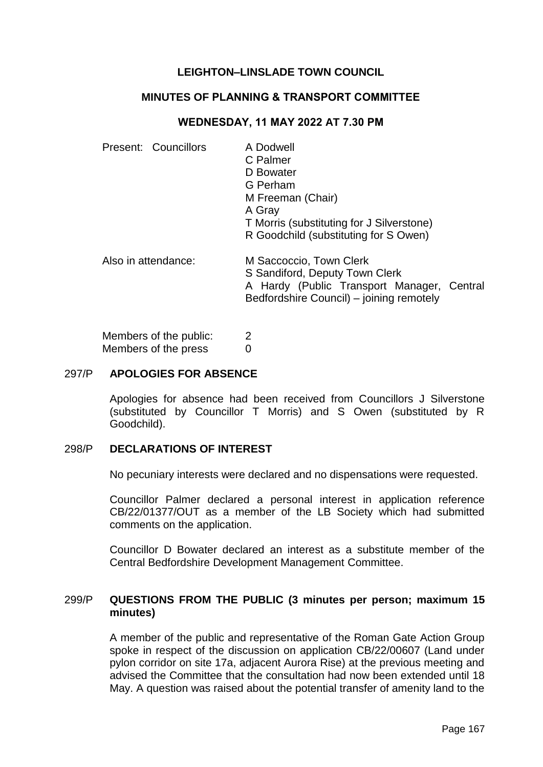# **LEIGHTON–LINSLADE TOWN COUNCIL**

### **MINUTES OF PLANNING & TRANSPORT COMMITTEE**

## **WEDNESDAY, 11 MAY 2022 AT 7.30 PM**

| Present: Councillors | A Dodwell<br>C Palmer<br>D Bowater<br>G Perham<br>M Freeman (Chair)<br>A Gray<br>T Morris (substituting for J Silverstone)<br>R Goodchild (substituting for S Owen) |  |
|----------------------|---------------------------------------------------------------------------------------------------------------------------------------------------------------------|--|
| Also in attendance:  | M Saccoccio, Town Clerk<br>S Sandiford, Deputy Town Clerk<br>A Hardy (Public Transport Manager, Central<br>Bedfordshire Council) - joining remotely                 |  |

Members of the public: 2 Members of the press 0

#### 297/P **APOLOGIES FOR ABSENCE**

Apologies for absence had been received from Councillors J Silverstone (substituted by Councillor T Morris) and S Owen (substituted by R Goodchild).

#### 298/P **DECLARATIONS OF INTEREST**

No pecuniary interests were declared and no dispensations were requested.

Councillor Palmer declared a personal interest in application reference CB/22/01377/OUT as a member of the LB Society which had submitted comments on the application.

Councillor D Bowater declared an interest as a substitute member of the Central Bedfordshire Development Management Committee.

# 299/P **QUESTIONS FROM THE PUBLIC (3 minutes per person; maximum 15 minutes)**

A member of the public and representative of the Roman Gate Action Group spoke in respect of the discussion on application CB/22/00607 (Land under pylon corridor on site 17a, adjacent Aurora Rise) at the previous meeting and advised the Committee that the consultation had now been extended until 18 May. A question was raised about the potential transfer of amenity land to the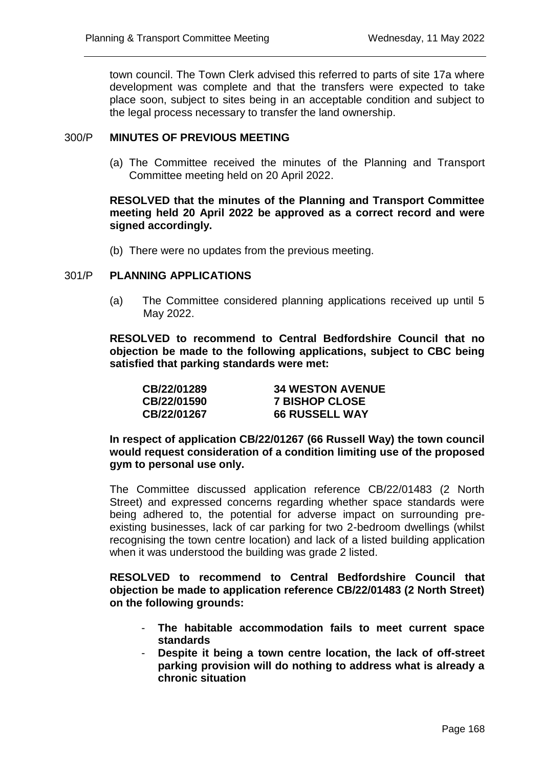town council. The Town Clerk advised this referred to parts of site 17a where development was complete and that the transfers were expected to take place soon, subject to sites being in an acceptable condition and subject to the legal process necessary to transfer the land ownership.

## 300/P **MINUTES OF PREVIOUS MEETING**

(a) The Committee received the minutes of the Planning and Transport Committee meeting held on 20 April 2022.

## **RESOLVED that the minutes of the Planning and Transport Committee meeting held 20 April 2022 be approved as a correct record and were signed accordingly.**

(b) There were no updates from the previous meeting.

## 301/P **PLANNING APPLICATIONS**

(a) The Committee considered planning applications received up until 5 May 2022.

**RESOLVED to recommend to Central Bedfordshire Council that no objection be made to the following applications, subject to CBC being satisfied that parking standards were met:**

| CB/22/01289 | <b>34 WESTON AVENUE</b> |
|-------------|-------------------------|
| CB/22/01590 | <b>7 BISHOP CLOSE</b>   |
| CB/22/01267 | <b>66 RUSSELL WAY</b>   |

**In respect of application CB/22/01267 (66 Russell Way) the town council would request consideration of a condition limiting use of the proposed gym to personal use only.**

The Committee discussed application reference CB/22/01483 (2 North Street) and expressed concerns regarding whether space standards were being adhered to, the potential for adverse impact on surrounding preexisting businesses, lack of car parking for two 2-bedroom dwellings (whilst recognising the town centre location) and lack of a listed building application when it was understood the building was grade 2 listed.

**RESOLVED to recommend to Central Bedfordshire Council that objection be made to application reference CB/22/01483 (2 North Street) on the following grounds:**

- **The habitable accommodation fails to meet current space standards**
- **Despite it being a town centre location, the lack of off-street parking provision will do nothing to address what is already a chronic situation**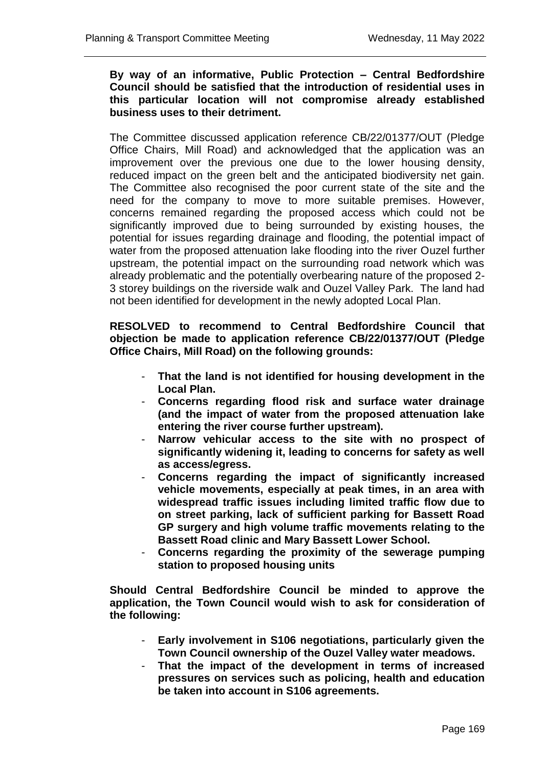## **By way of an informative, Public Protection – Central Bedfordshire Council should be satisfied that the introduction of residential uses in this particular location will not compromise already established business uses to their detriment.**

The Committee discussed application reference CB/22/01377/OUT (Pledge Office Chairs, Mill Road) and acknowledged that the application was an improvement over the previous one due to the lower housing density, reduced impact on the green belt and the anticipated biodiversity net gain. The Committee also recognised the poor current state of the site and the need for the company to move to more suitable premises. However, concerns remained regarding the proposed access which could not be significantly improved due to being surrounded by existing houses, the potential for issues regarding drainage and flooding, the potential impact of water from the proposed attenuation lake flooding into the river Ouzel further upstream, the potential impact on the surrounding road network which was already problematic and the potentially overbearing nature of the proposed 2- 3 storey buildings on the riverside walk and Ouzel Valley Park. The land had not been identified for development in the newly adopted Local Plan.

# **RESOLVED to recommend to Central Bedfordshire Council that objection be made to application reference CB/22/01377/OUT (Pledge Office Chairs, Mill Road) on the following grounds:**

- **That the land is not identified for housing development in the Local Plan.**
- **Concerns regarding flood risk and surface water drainage (and the impact of water from the proposed attenuation lake entering the river course further upstream).**
- **Narrow vehicular access to the site with no prospect of significantly widening it, leading to concerns for safety as well as access/egress.**
- **Concerns regarding the impact of significantly increased vehicle movements, especially at peak times, in an area with widespread traffic issues including limited traffic flow due to on street parking, lack of sufficient parking for Bassett Road GP surgery and high volume traffic movements relating to the Bassett Road clinic and Mary Bassett Lower School.**
- **Concerns regarding the proximity of the sewerage pumping station to proposed housing units**

**Should Central Bedfordshire Council be minded to approve the application, the Town Council would wish to ask for consideration of the following:**

- **Early involvement in S106 negotiations, particularly given the Town Council ownership of the Ouzel Valley water meadows.**
- **That the impact of the development in terms of increased pressures on services such as policing, health and education be taken into account in S106 agreements.**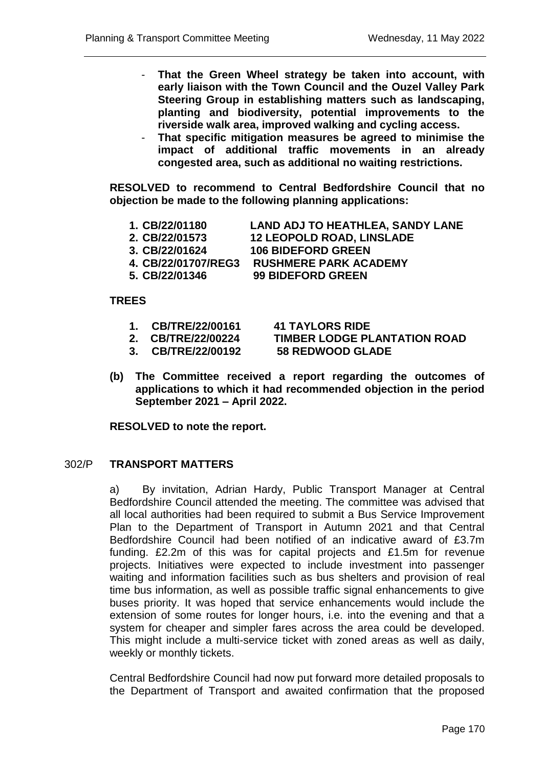- **That the Green Wheel strategy be taken into account, with early liaison with the Town Council and the Ouzel Valley Park Steering Group in establishing matters such as landscaping, planting and biodiversity, potential improvements to the riverside walk area, improved walking and cycling access.**
- **That specific mitigation measures be agreed to minimise the impact of additional traffic movements in an already congested area, such as additional no waiting restrictions.**

**RESOLVED to recommend to Central Bedfordshire Council that no objection be made to the following planning applications:** 

- **1. CB/22/01180 LAND ADJ TO HEATHLEA, SANDY LANE**
- **2. CB/22/01573 12 LEOPOLD ROAD, LINSLADE**
- **3. CB/22/01624 106 BIDEFORD GREEN**

**4. CB/22/01707/REG3 RUSHMERE PARK ACADEMY**

**5. CB/22/01346 99 BIDEFORD GREEN**

## **TREES**

- **1. CB/TRE/22/00161 41 TAYLORS RIDE**
- 

**3. CB/TRE/22/00192 58 REDWOOD GLADE**

**2. CB/TRE/22/00224 TIMBER LODGE PLANTATION ROAD**

**(b) The Committee received a report regarding the outcomes of applications to which it had recommended objection in the period September 2021 – April 2022.**

**RESOLVED to note the report.** 

# 302/P **TRANSPORT MATTERS**

a) By invitation, Adrian Hardy, Public Transport Manager at Central Bedfordshire Council attended the meeting. The committee was advised that all local authorities had been required to submit a Bus Service Improvement Plan to the Department of Transport in Autumn 2021 and that Central Bedfordshire Council had been notified of an indicative award of £3.7m funding. £2.2m of this was for capital projects and £1.5m for revenue projects. Initiatives were expected to include investment into passenger waiting and information facilities such as bus shelters and provision of real time bus information, as well as possible traffic signal enhancements to give buses priority. It was hoped that service enhancements would include the extension of some routes for longer hours, i.e. into the evening and that a system for cheaper and simpler fares across the area could be developed. This might include a multi-service ticket with zoned areas as well as daily, weekly or monthly tickets.

Central Bedfordshire Council had now put forward more detailed proposals to the Department of Transport and awaited confirmation that the proposed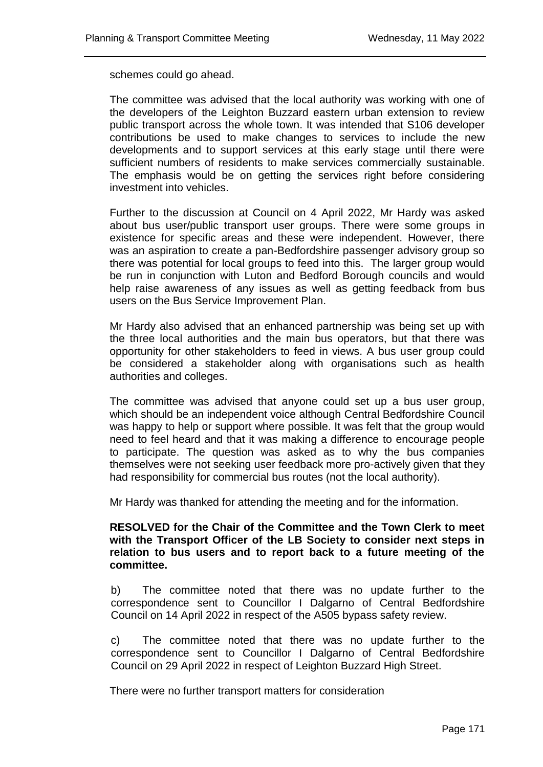schemes could go ahead.

The committee was advised that the local authority was working with one of the developers of the Leighton Buzzard eastern urban extension to review public transport across the whole town. It was intended that S106 developer contributions be used to make changes to services to include the new developments and to support services at this early stage until there were sufficient numbers of residents to make services commercially sustainable. The emphasis would be on getting the services right before considering investment into vehicles.

Further to the discussion at Council on 4 April 2022, Mr Hardy was asked about bus user/public transport user groups. There were some groups in existence for specific areas and these were independent. However, there was an aspiration to create a pan-Bedfordshire passenger advisory group so there was potential for local groups to feed into this. The larger group would be run in conjunction with Luton and Bedford Borough councils and would help raise awareness of any issues as well as getting feedback from bus users on the Bus Service Improvement Plan.

Mr Hardy also advised that an enhanced partnership was being set up with the three local authorities and the main bus operators, but that there was opportunity for other stakeholders to feed in views. A bus user group could be considered a stakeholder along with organisations such as health authorities and colleges.

The committee was advised that anyone could set up a bus user group, which should be an independent voice although Central Bedfordshire Council was happy to help or support where possible. It was felt that the group would need to feel heard and that it was making a difference to encourage people to participate. The question was asked as to why the bus companies themselves were not seeking user feedback more pro-actively given that they had responsibility for commercial bus routes (not the local authority).

Mr Hardy was thanked for attending the meeting and for the information.

**RESOLVED for the Chair of the Committee and the Town Clerk to meet with the Transport Officer of the LB Society to consider next steps in relation to bus users and to report back to a future meeting of the committee.** 

b) The committee noted that there was no update further to the correspondence sent to Councillor I Dalgarno of Central Bedfordshire Council on 14 April 2022 in respect of the A505 bypass safety review.

c) The committee noted that there was no update further to the correspondence sent to Councillor I Dalgarno of Central Bedfordshire Council on 29 April 2022 in respect of Leighton Buzzard High Street.

There were no further transport matters for consideration